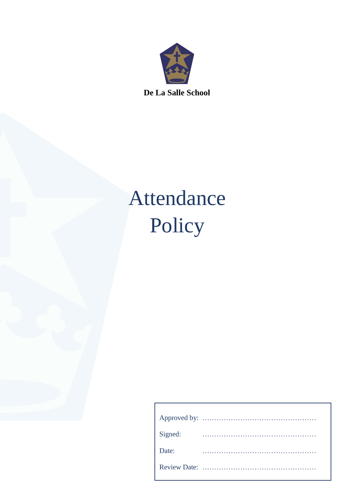

**De La Salle School**

# Attendance Policy

| Signed: |  |  |  |  |  |  |  |  |  |  |  |  |  |  |  |  |  |  |
|---------|--|--|--|--|--|--|--|--|--|--|--|--|--|--|--|--|--|--|
| Date:   |  |  |  |  |  |  |  |  |  |  |  |  |  |  |  |  |  |  |
|         |  |  |  |  |  |  |  |  |  |  |  |  |  |  |  |  |  |  |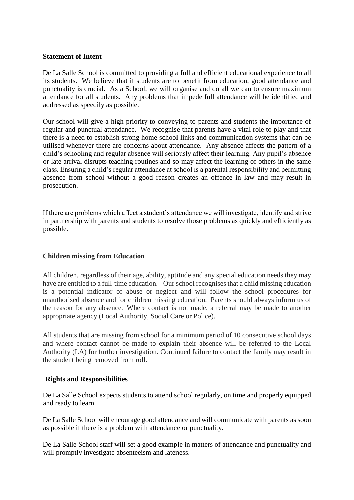#### **Statement of Intent**

De La Salle School is committed to providing a full and efficient educational experience to all its students. We believe that if students are to benefit from education, good attendance and punctuality is crucial. As a School, we will organise and do all we can to ensure maximum attendance for all students. Any problems that impede full attendance will be identified and addressed as speedily as possible.

Our school will give a high priority to conveying to parents and students the importance of regular and punctual attendance. We recognise that parents have a vital role to play and that there is a need to establish strong home school links and communication systems that can be utilised whenever there are concerns about attendance. Any absence affects the pattern of a child's schooling and regular absence will seriously affect their learning. Any pupil's absence or late arrival disrupts teaching routines and so may affect the learning of others in the same class. Ensuring a child's regular attendance at school is a parental responsibility and permitting absence from school without a good reason creates an offence in law and may result in prosecution.

If there are problems which affect a student's attendance we will investigate, identify and strive in partnership with parents and students to resolve those problems as quickly and efficiently as possible.

#### **Children missing from Education**

All children, regardless of their age, ability, aptitude and any special education needs they may have are entitled to a full-time education. Our school recognises that a child missing education is a potential indicator of abuse or neglect and will follow the school procedures for unauthorised absence and for children missing education. Parents should always inform us of the reason for any absence. Where contact is not made, a referral may be made to another appropriate agency (Local Authority, Social Care or Police).

All students that are missing from school for a minimum period of 10 consecutive school days and where contact cannot be made to explain their absence will be referred to the Local Authority (LA) for further investigation. Continued failure to contact the family may result in the student being removed from roll.

#### **Rights and Responsibilities**

De La Salle School expects students to attend school regularly, on time and properly equipped and ready to learn.

De La Salle School will encourage good attendance and will communicate with parents as soon as possible if there is a problem with attendance or punctuality.

De La Salle School staff will set a good example in matters of attendance and punctuality and will promptly investigate absenteeism and lateness.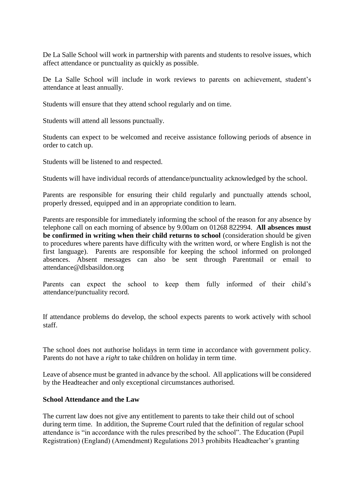De La Salle School will work in partnership with parents and students to resolve issues, which affect attendance or punctuality as quickly as possible.

De La Salle School will include in work reviews to parents on achievement, student's attendance at least annually.

Students will ensure that they attend school regularly and on time.

Students will attend all lessons punctually.

Students can expect to be welcomed and receive assistance following periods of absence in order to catch up.

Students will be listened to and respected.

Students will have individual records of attendance/punctuality acknowledged by the school.

Parents are responsible for ensuring their child regularly and punctually attends school, properly dressed, equipped and in an appropriate condition to learn.

Parents are responsible for immediately informing the school of the reason for any absence by telephone call on each morning of absence by 9.00am on 01268 822994. **All absences must be confirmed in writing when their child returns to school** (consideration should be given to procedures where parents have difficulty with the written word, or where English is not the first language). Parents are responsible for keeping the school informed on prolonged absences. Absent messages can also be sent through Parentmail or email to attendance@dlsbasildon.org

Parents can expect the school to keep them fully informed of their child's attendance/punctuality record.

If attendance problems do develop, the school expects parents to work actively with school staff.

The school does not authorise holidays in term time in accordance with government policy. Parents do not have a *right* to take children on holiday in term time.

Leave of absence must be granted in advance by the school. All applications will be considered by the Headteacher and only exceptional circumstances authorised.

### **School Attendance and the Law**

The current law does not give any entitlement to parents to take their child out of school during term time. In addition, the Supreme Court ruled that the definition of regular school attendance is "in accordance with the rules prescribed by the school". The Education (Pupil Registration) (England) (Amendment) Regulations 2013 prohibits Headteacher's granting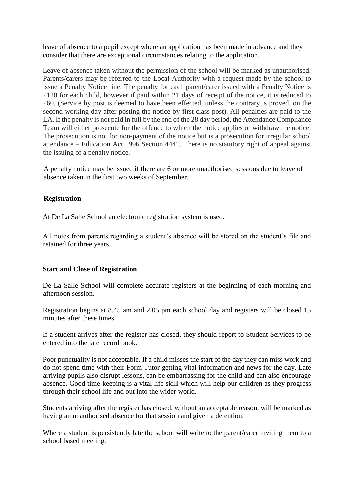leave of absence to a pupil except where an application has been made in advance and they consider that there are exceptional circumstances relating to the application.

Leave of absence taken without the permission of the school will be marked as unauthorised. Parents/carers may be referred to the Local Authority with a request made by the school to issue a Penalty Notice fine. The penalty for each parent/carer issued with a Penalty Notice is £120 for each child, however if paid within 21 days of receipt of the notice, it is reduced to £60. (Service by post is deemed to have been effected, unless the contrary is proved, on the second working day after posting the notice by first class post). All penalties are paid to the LA. If the penalty is not paid in full by the end of the 28 day period, the Attendance Compliance Team will either prosecute for the offence to which the notice applies or withdraw the notice. The prosecution is not for non-payment of the notice but is a prosecution for irregular school attendance – Education Act 1996 Section 4441. There is no statutory right of appeal against the issuing of a penalty notice.

A penalty notice may be issued if there are 6 or more unauthorised sessions due to leave of absence taken in the first two weeks of September.

## **Registration**

At De La Salle School an electronic registration system is used.

All notes from parents regarding a student's absence will be stored on the student's file and retained for three years.

#### **Start and Close of Registration**

De La Salle School will complete accurate registers at the beginning of each morning and afternoon session.

Registration begins at 8.45 am and 2.05 pm each school day and registers will be closed 15 minutes after these times.

If a student arrives after the register has closed, they should report to Student Services to be entered into the late record book.

Poor punctuality is not acceptable. If a child misses the start of the day they can miss work and do not spend time with their Form Tutor getting vital information and news for the day. Late arriving pupils also disrupt lessons, can be embarrassing for the child and can also encourage absence. Good time-keeping is a vital life skill which will help our children as they progress through their school life and out into the wider world.

Students arriving after the register has closed, without an acceptable reason, will be marked as having an unauthorised absence for that session and given a detention.

Where a student is persistently late the school will write to the parent/carer inviting them to a school based meeting.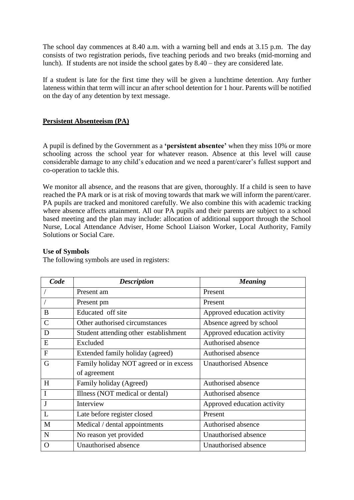The school day commences at 8.40 a.m. with a warning bell and ends at 3.15 p.m. The day consists of two registration periods, five teaching periods and two breaks (mid-morning and lunch). If students are not inside the school gates by 8.40 – they are considered late.

If a student is late for the first time they will be given a lunchtime detention. Any further lateness within that term will incur an after school detention for 1 hour. Parents will be notified on the day of any detention by text message.

## **Persistent Absenteeism (PA)**

A pupil is defined by the Government as a **'persistent absentee'** when they miss 10% or more schooling across the school year for whatever reason. Absence at this level will cause considerable damage to any child's education and we need a parent/carer's fullest support and co-operation to tackle this.

We monitor all absence, and the reasons that are given, thoroughly. If a child is seen to have reached the PA mark or is at risk of moving towards that mark we will inform the parent/carer. PA pupils are tracked and monitored carefully. We also combine this with academic tracking where absence affects attainment. All our PA pupils and their parents are subject to a school based meeting and the plan may include: allocation of additional support through the School Nurse, Local Attendance Adviser, Home School Liaison Worker, Local Authority, Family Solutions or Social Care.

#### **Use of Symbols**

The following symbols are used in registers:

| Code          | <b>Description</b>                     | <b>Meaning</b>              |
|---------------|----------------------------------------|-----------------------------|
|               | Present am                             | Present                     |
|               | Present pm                             | Present                     |
| B             | Educated off site                      | Approved education activity |
| $\mathcal{C}$ | Other authorised circumstances         | Absence agreed by school    |
| D             | Student attending other establishment  | Approved education activity |
| E             | Excluded                               | Authorised absence          |
| $\mathbf{F}$  | Extended family holiday (agreed)       | Authorised absence          |
| G             | Family holiday NOT agreed or in excess | <b>Unauthorised Absence</b> |
|               | of agreement                           |                             |
| H             | Family holiday (Agreed)                | Authorised absence          |
| $\mathbf I$   | Illness (NOT medical or dental)        | Authorised absence          |
| J             | Interview                              | Approved education activity |
| L             | Late before register closed            | Present                     |
| M             | Medical / dental appointments          | Authorised absence          |
| $\mathbf N$   | No reason yet provided                 | Unauthorised absence        |
| O             | Unauthorised absence                   | Unauthorised absence        |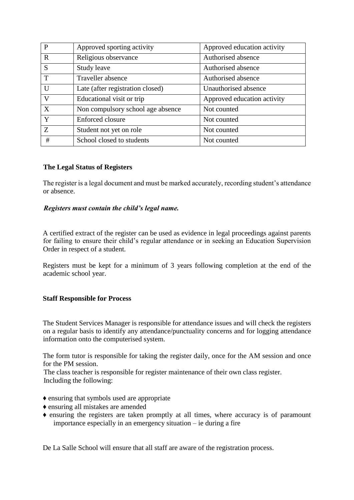| P            | Approved sporting activity        | Approved education activity |
|--------------|-----------------------------------|-----------------------------|
| R            | Religious observance              | Authorised absence          |
| S            | Study leave                       | Authorised absence          |
| $\mathsf{T}$ | Traveller absence                 | Authorised absence          |
| $\mathbf{U}$ | Late (after registration closed)  | Unauthorised absence        |
| V            | Educational visit or trip         | Approved education activity |
| X            | Non compulsory school age absence | Not counted                 |
| Y            | Enforced closure                  | Not counted                 |
| Z            | Student not yet on role           | Not counted                 |
| #            | School closed to students         | Not counted                 |

## **The Legal Status of Registers**

The register is a legal document and must be marked accurately, recording student's attendance or absence.

## *Registers must contain the child's legal name.*

A certified extract of the register can be used as evidence in legal proceedings against parents for failing to ensure their child's regular attendance or in seeking an Education Supervision Order in respect of a student.

Registers must be kept for a minimum of 3 years following completion at the end of the academic school year.

#### **Staff Responsible for Process**

The Student Services Manager is responsible for attendance issues and will check the registers on a regular basis to identify any attendance/punctuality concerns and for logging attendance information onto the computerised system.

The form tutor is responsible for taking the register daily, once for the AM session and once for the PM session.

The class teacher is responsible for register maintenance of their own class register. Including the following:

- ♦ ensuring that symbols used are appropriate
- ♦ ensuring all mistakes are amended
- ♦ ensuring the registers are taken promptly at all times, where accuracy is of paramount importance especially in an emergency situation – ie during a fire

De La Salle School will ensure that all staff are aware of the registration process.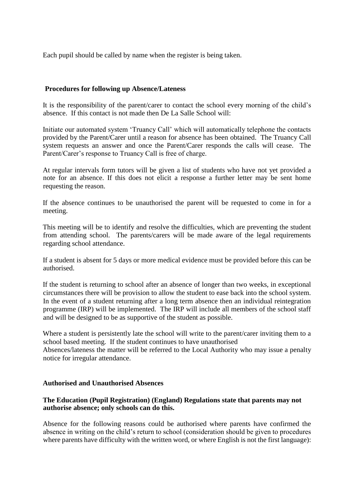Each pupil should be called by name when the register is being taken.

#### **Procedures for following up Absence/Lateness**

It is the responsibility of the parent/carer to contact the school every morning of the child's absence. If this contact is not made then De La Salle School will:

Initiate our automated system 'Truancy Call' which will automatically telephone the contacts provided by the Parent/Carer until a reason for absence has been obtained. The Truancy Call system requests an answer and once the Parent/Carer responds the calls will cease. The Parent/Carer's response to Truancy Call is free of charge.

At regular intervals form tutors will be given a list of students who have not yet provided a note for an absence. If this does not elicit a response a further letter may be sent home requesting the reason.

If the absence continues to be unauthorised the parent will be requested to come in for a meeting.

This meeting will be to identify and resolve the difficulties, which are preventing the student from attending school. The parents/carers will be made aware of the legal requirements regarding school attendance.

If a student is absent for 5 days or more medical evidence must be provided before this can be authorised.

If the student is returning to school after an absence of longer than two weeks, in exceptional circumstances there will be provision to allow the student to ease back into the school system. In the event of a student returning after a long term absence then an individual reintegration programme (IRP) will be implemented. The IRP will include all members of the school staff and will be designed to be as supportive of the student as possible.

Where a student is persistently late the school will write to the parent/carer inviting them to a school based meeting. If the student continues to have unauthorised Absences/lateness the matter will be referred to the Local Authority who may issue a penalty notice for irregular attendance.

#### **Authorised and Unauthorised Absences**

#### **The Education (Pupil Registration) (England) Regulations state that parents may not authorise absence; only schools can do this.**

Absence for the following reasons could be authorised where parents have confirmed the absence in writing on the child's return to school (consideration should be given to procedures where parents have difficulty with the written word, or where English is not the first language):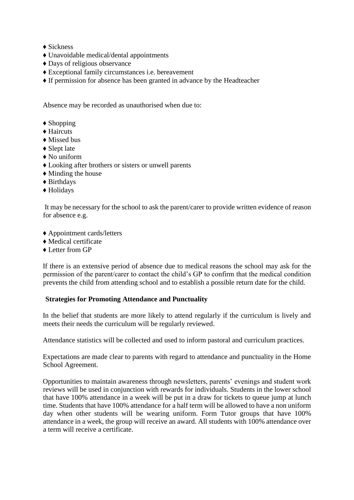- ◆ Sickness
- ♦ Unavoidable medical/dental appointments
- ♦ Days of religious observance
- ♦ Exceptional family circumstances i.e. bereavement
- ♦ If permission for absence has been granted in advance by the Headteacher

Absence may be recorded as unauthorised when due to:

- ♦ Shopping
- ♦ Haircuts
- ♦ Missed bus
- ♦ Slept late
- ♦ No uniform
- ♦ Looking after brothers or sisters or unwell parents
- ♦ Minding the house
- ♦ Birthdays
- ♦ Holidays

It may be necessary for the school to ask the parent/carer to provide written evidence of reason for absence e.g.

- ♦ Appointment cards/letters
- ♦ Medical certificate
- ♦ Letter from GP

If there is an extensive period of absence due to medical reasons the school may ask for the permission of the parent/carer to contact the child's GP to confirm that the medical condition prevents the child from attending school and to establish a possible return date for the child.

#### **Strategies for Promoting Attendance and Punctuality**

In the belief that students are more likely to attend regularly if the curriculum is lively and meets their needs the curriculum will be regularly reviewed.

Attendance statistics will be collected and used to inform pastoral and curriculum practices.

Expectations are made clear to parents with regard to attendance and punctuality in the Home School Agreement.

Opportunities to maintain awareness through newsletters, parents' evenings and student work reviews will be used in conjunction with rewards for individuals. Students in the lower school that have 100% attendance in a week will be put in a draw for tickets to queue jump at lunch time. Students that have 100% attendance for a half term will be allowed to have a non uniform day when other students will be wearing uniform. Form Tutor groups that have 100% attendance in a week, the group will receive an award. All students with 100% attendance over a term will receive a certificate.